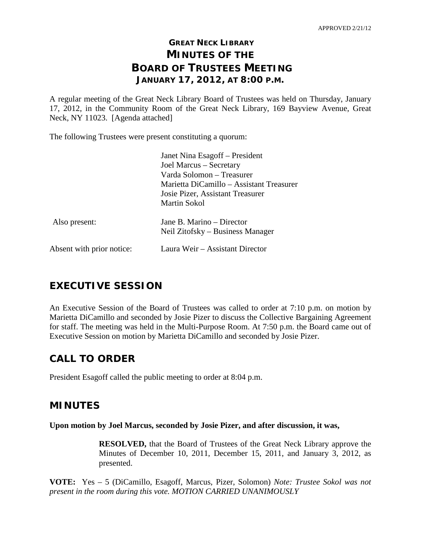# **GREAT NECK LIBRARY MINUTES OF THE BOARD OF TRUSTEES MEETING JANUARY 17, 2012, AT 8:00 P.M.**

A regular meeting of the Great Neck Library Board of Trustees was held on Thursday, January 17, 2012, in the Community Room of the Great Neck Library, 169 Bayview Avenue, Great Neck, NY 11023. [Agenda attached]

The following Trustees were present constituting a quorum:

|                           | Janet Nina Esagoff - President                                |
|---------------------------|---------------------------------------------------------------|
|                           | Joel Marcus - Secretary                                       |
|                           | Varda Solomon - Treasurer                                     |
|                           | Marietta DiCamillo – Assistant Treasurer                      |
|                           | Josie Pizer, Assistant Treasurer                              |
|                           | Martin Sokol                                                  |
| Also present:             | Jane B. Marino – Director<br>Neil Zitofsky – Business Manager |
| Absent with prior notice: | Laura Weir - Assistant Director                               |

# **EXECUTIVE SESSION**

An Executive Session of the Board of Trustees was called to order at 7:10 p.m. on motion by Marietta DiCamillo and seconded by Josie Pizer to discuss the Collective Bargaining Agreement for staff. The meeting was held in the Multi-Purpose Room. At 7:50 p.m. the Board came out of Executive Session on motion by Marietta DiCamillo and seconded by Josie Pizer.

# **CALL TO ORDER**

President Esagoff called the public meeting to order at 8:04 p.m.

# **MINUTES**

### **Upon motion by Joel Marcus, seconded by Josie Pizer, and after discussion, it was,**

**RESOLVED,** that the Board of Trustees of the Great Neck Library approve the Minutes of December 10, 2011, December 15, 2011, and January 3, 2012, as presented.

**VOTE:** Yes – 5 (DiCamillo, Esagoff, Marcus, Pizer, Solomon) *Note: Trustee Sokol was not present in the room during this vote. MOTION CARRIED UNANIMOUSLY*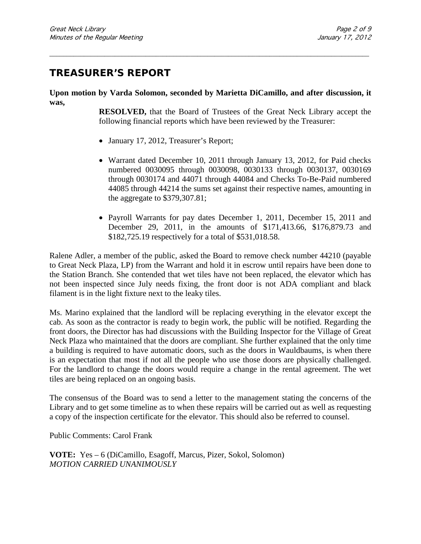# **TREASURER'S REPORT**

**Upon motion by Varda Solomon, seconded by Marietta DiCamillo, and after discussion, it was,**

\_\_\_\_\_\_\_\_\_\_\_\_\_\_\_\_\_\_\_\_\_\_\_\_\_\_\_\_\_\_\_\_\_\_\_\_\_\_\_\_\_\_\_\_\_\_\_\_\_\_\_\_\_\_\_\_\_\_\_\_\_\_\_\_\_\_\_\_\_\_\_\_\_\_\_\_\_\_\_\_\_\_\_\_\_\_\_\_\_\_\_\_\_

**RESOLVED,** that the Board of Trustees of the Great Neck Library accept the following financial reports which have been reviewed by the Treasurer:

- January 17, 2012, Treasurer's Report;
- Warrant dated December 10, 2011 through January 13, 2012, for Paid checks numbered 0030095 through 0030098, 0030133 through 0030137, 0030169 through 0030174 and 44071 through 44084 and Checks To-Be-Paid numbered 44085 through 44214 the sums set against their respective names, amounting in the aggregate to \$379,307.81;
- Payroll Warrants for pay dates December 1, 2011, December 15, 2011 and December 29, 2011, in the amounts of \$171,413.66, \$176,879.73 and \$182,725.19 respectively for a total of \$531,018.58.

Ralene Adler, a member of the public, asked the Board to remove check number 44210 (payable to Great Neck Plaza, LP) from the Warrant and hold it in escrow until repairs have been done to the Station Branch. She contended that wet tiles have not been replaced, the elevator which has not been inspected since July needs fixing, the front door is not ADA compliant and black filament is in the light fixture next to the leaky tiles.

Ms. Marino explained that the landlord will be replacing everything in the elevator except the cab. As soon as the contractor is ready to begin work, the public will be notified. Regarding the front doors, the Director has had discussions with the Building Inspector for the Village of Great Neck Plaza who maintained that the doors are compliant. She further explained that the only time a building is required to have automatic doors, such as the doors in Wauldbaums, is when there is an expectation that most if not all the people who use those doors are physically challenged. For the landlord to change the doors would require a change in the rental agreement. The wet tiles are being replaced on an ongoing basis.

The consensus of the Board was to send a letter to the management stating the concerns of the Library and to get some timeline as to when these repairs will be carried out as well as requesting a copy of the inspection certificate for the elevator. This should also be referred to counsel.

Public Comments: Carol Frank

**VOTE:** Yes – 6 (DiCamillo, Esagoff, Marcus, Pizer, Sokol, Solomon) *MOTION CARRIED UNANIMOUSLY*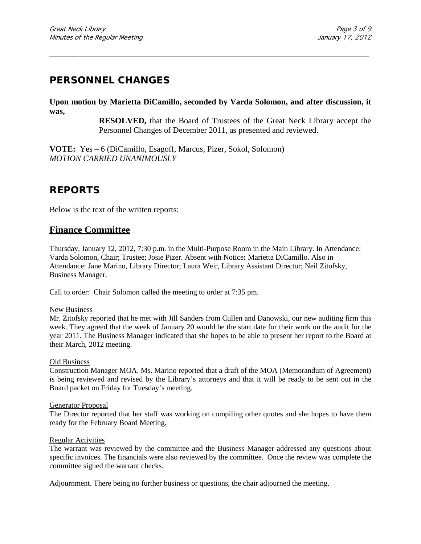# **PERSONNEL CHANGES**

**Upon motion by Marietta DiCamillo, seconded by Varda Solomon, and after discussion, it was,**

\_\_\_\_\_\_\_\_\_\_\_\_\_\_\_\_\_\_\_\_\_\_\_\_\_\_\_\_\_\_\_\_\_\_\_\_\_\_\_\_\_\_\_\_\_\_\_\_\_\_\_\_\_\_\_\_\_\_\_\_\_\_\_\_\_\_\_\_\_\_\_\_\_\_\_\_\_\_\_\_\_\_\_\_\_\_\_\_\_\_\_\_\_

**RESOLVED,** that the Board of Trustees of the Great Neck Library accept the Personnel Changes of December 2011, as presented and reviewed.

**VOTE:** Yes – 6 (DiCamillo, Esagoff, Marcus, Pizer, Sokol, Solomon) *MOTION CARRIED UNANIMOUSLY*

# **REPORTS**

Below is the text of the written reports:

## **Finance Committee**

Thursday, January 12, 2012, 7:30 p.m. in the Multi-Purpose Room in the Main Library. In Attendance: Varda Solomon, Chair; Trustee; Josie Pizer. Absent with Notice**:** Marietta DiCamillo. Also in Attendance: Jane Marino, Library Director; Laura Weir, Library Assistant Director; Neil Zitofsky, Business Manager.

Call to order:Chair Solomon called the meeting to order at 7:35 pm.

### New Business

Mr. Zitofsky reported that he met with Jill Sanders from Cullen and Danowski, our new auditing firm this week. They agreed that the week of January 20 would be the start date for their work on the audit for the year 2011. The Business Manager indicated that she hopes to be able to present her report to the Board at their March, 2012 meeting.

#### Old Business

Construction Manager MOA. Ms. Marino reported that a draft of the MOA (Memorandum of Agreement) is being reviewed and revised by the Library's attorneys and that it will be ready to be sent out in the Board packet on Friday for Tuesday's meeting.

#### Generator Proposal

The Director reported that her staff was working on compiling other quotes and she hopes to have them ready for the February Board Meeting.

#### Regular Activities

The warrant was reviewed by the committee and the Business Manager addressed any questions about specific invoices. The financials were also reviewed by the committee. Once the review was complete the committee signed the warrant checks.

Adjournment. There being no further business or questions, the chair adjourned the meeting.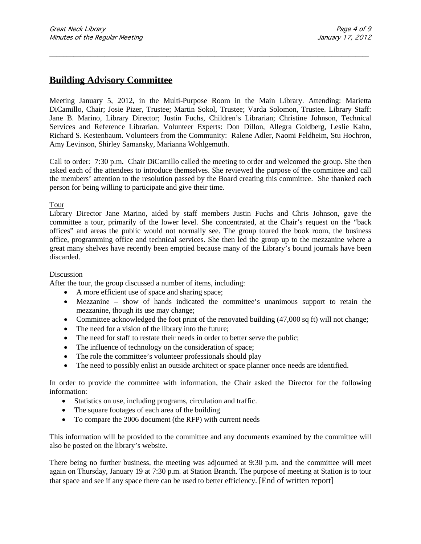## **Building Advisory Committee**

Meeting January 5, 2012, in the Multi-Purpose Room in the Main Library. Attending: Marietta DiCamillo, Chair; Josie Pizer, Trustee; Martin Sokol, Trustee; Varda Solomon, Trustee. Library Staff: Jane B. Marino, Library Director; Justin Fuchs, Children's Librarian; Christine Johnson, Technical Services and Reference Librarian. Volunteer Experts: Don Dillon, Allegra Goldberg, Leslie Kahn, Richard S. Kestenbaum. Volunteers from the Community: Ralene Adler, Naomi Feldheim, Stu Hochron, Amy Levinson, Shirley Samansky, Marianna Wohlgemuth.

\_\_\_\_\_\_\_\_\_\_\_\_\_\_\_\_\_\_\_\_\_\_\_\_\_\_\_\_\_\_\_\_\_\_\_\_\_\_\_\_\_\_\_\_\_\_\_\_\_\_\_\_\_\_\_\_\_\_\_\_\_\_\_\_\_\_\_\_\_\_\_\_\_\_\_\_\_\_\_\_\_\_\_\_\_\_\_\_\_\_\_\_\_

Call to order:7:30 p.m**.** Chair DiCamillo called the meeting to order and welcomed the group. She then asked each of the attendees to introduce themselves. She reviewed the purpose of the committee and call the members' attention to the resolution passed by the Board creating this committee. She thanked each person for being willing to participate and give their time.

### Tour

Library Director Jane Marino, aided by staff members Justin Fuchs and Chris Johnson, gave the committee a tour, primarily of the lower level. She concentrated, at the Chair's request on the "back offices" and areas the public would not normally see. The group toured the book room, the business office, programming office and technical services. She then led the group up to the mezzanine where a great many shelves have recently been emptied because many of the Library's bound journals have been discarded.

### Discussion

After the tour, the group discussed a number of items, including:

- A more efficient use of space and sharing space;
- Mezzanine show of hands indicated the committee's unanimous support to retain the mezzanine, though its use may change;
- Committee acknowledged the foot print of the renovated building (47,000 sq ft) will not change;
- The need for a vision of the library into the future;
- The need for staff to restate their needs in order to better serve the public;
- The influence of technology on the consideration of space;
- The role the committee's volunteer professionals should play
- The need to possibly enlist an outside architect or space planner once needs are identified.

In order to provide the committee with information, the Chair asked the Director for the following information:

- Statistics on use, including programs, circulation and traffic.
- The square footages of each area of the building
- To compare the 2006 document (the RFP) with current needs

This information will be provided to the committee and any documents examined by the committee will also be posted on the library's website.

There being no further business, the meeting was adjourned at 9:30 p.m. and the committee will meet again on Thursday, January 19 at 7:30 p.m. at Station Branch. The purpose of meeting at Station is to tour that space and see if any space there can be used to better efficiency. [End of written report]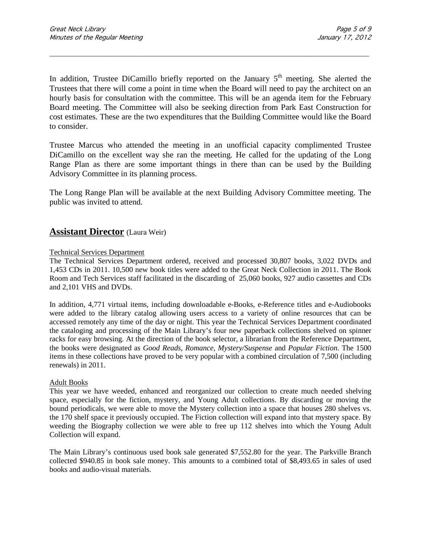In addition, Trustee DiCamillo briefly reported on the January  $5<sup>th</sup>$  meeting. She alerted the Trustees that there will come a point in time when the Board will need to pay the architect on an hourly basis for consultation with the committee. This will be an agenda item for the February Board meeting. The Committee will also be seeking direction from Park East Construction for cost estimates. These are the two expenditures that the Building Committee would like the Board to consider.

\_\_\_\_\_\_\_\_\_\_\_\_\_\_\_\_\_\_\_\_\_\_\_\_\_\_\_\_\_\_\_\_\_\_\_\_\_\_\_\_\_\_\_\_\_\_\_\_\_\_\_\_\_\_\_\_\_\_\_\_\_\_\_\_\_\_\_\_\_\_\_\_\_\_\_\_\_\_\_\_\_\_\_\_\_\_\_\_\_\_\_\_\_

Trustee Marcus who attended the meeting in an unofficial capacity complimented Trustee DiCamillo on the excellent way she ran the meeting. He called for the updating of the Long Range Plan as there are some important things in there than can be used by the Building Advisory Committee in its planning process.

The Long Range Plan will be available at the next Building Advisory Committee meeting. The public was invited to attend.

### **Assistant Director** (Laura Weir)

### Technical Services Department

The Technical Services Department ordered, received and processed 30,807 books, 3,022 DVDs and 1,453 CDs in 2011. 10,500 new book titles were added to the Great Neck Collection in 2011. The Book Room and Tech Services staff facilitated in the discarding of 25,060 books, 927 audio cassettes and CDs and 2,101 VHS and DVDs.

In addition, 4,771 virtual items, including downloadable e-Books, e-Reference titles and e-Audiobooks were added to the library catalog allowing users access to a variety of online resources that can be accessed remotely any time of the day or night. This year the Technical Services Department coordinated the cataloging and processing of the Main Library's four new paperback collections shelved on spinner racks for easy browsing. At the direction of the book selector, a librarian from the Reference Department, the books were designated as *Good Reads*, *Romance, Mystery/Suspense* and *Popular Fiction*. The 1500 items in these collections have proved to be very popular with a combined circulation of 7,500 (including renewals) in 2011.

#### Adult Books

This year we have weeded, enhanced and reorganized our collection to create much needed shelving space, especially for the fiction, mystery, and Young Adult collections. By discarding or moving the bound periodicals, we were able to move the Mystery collection into a space that houses 280 shelves vs. the 170 shelf space it previously occupied. The Fiction collection will expand into that mystery space. By weeding the Biography collection we were able to free up 112 shelves into which the Young Adult Collection will expand.

The Main Library's continuous used book sale generated \$7,552.80 for the year. The Parkville Branch collected \$940.85 in book sale money. This amounts to a combined total of \$8,493.65 in sales of used books and audio-visual materials.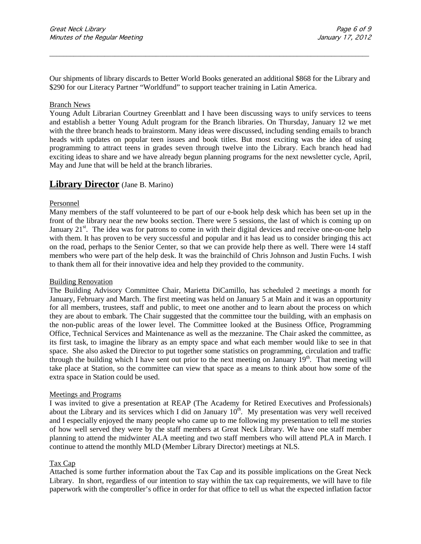Our shipments of library discards to Better World Books generated an additional \$868 for the Library and \$290 for our Literacy Partner "Worldfund" to support teacher training in Latin America.

\_\_\_\_\_\_\_\_\_\_\_\_\_\_\_\_\_\_\_\_\_\_\_\_\_\_\_\_\_\_\_\_\_\_\_\_\_\_\_\_\_\_\_\_\_\_\_\_\_\_\_\_\_\_\_\_\_\_\_\_\_\_\_\_\_\_\_\_\_\_\_\_\_\_\_\_\_\_\_\_\_\_\_\_\_\_\_\_\_\_\_\_\_

#### Branch News

Young Adult Librarian Courtney Greenblatt and I have been discussing ways to unify services to teens and establish a better Young Adult program for the Branch libraries. On Thursday, January 12 we met with the three branch heads to brainstorm. Many ideas were discussed, including sending emails to branch heads with updates on popular teen issues and book titles. But most exciting was the idea of using programming to attract teens in grades seven through twelve into the Library. Each branch head had exciting ideas to share and we have already begun planning programs for the next newsletter cycle, April, May and June that will be held at the branch libraries.

### **Library Director** (Jane B. Marino)

#### Personnel

Many members of the staff volunteered to be part of our e-book help desk which has been set up in the front of the library near the new books section. There were 5 sessions, the last of which is coming up on January  $21^{st}$ . The idea was for patrons to come in with their digital devices and receive one-on-one help with them. It has proven to be very successful and popular and it has lead us to consider bringing this act on the road, perhaps to the Senior Center, so that we can provide help there as well. There were 14 staff members who were part of the help desk. It was the brainchild of Chris Johnson and Justin Fuchs. I wish to thank them all for their innovative idea and help they provided to the community.

#### Building Renovation

The Building Advisory Committee Chair, Marietta DiCamillo, has scheduled 2 meetings a month for January, February and March. The first meeting was held on January 5 at Main and it was an opportunity for all members, trustees, staff and public, to meet one another and to learn about the process on which they are about to embark. The Chair suggested that the committee tour the building, with an emphasis on the non-public areas of the lower level. The Committee looked at the Business Office, Programming Office, Technical Services and Maintenance as well as the mezzanine. The Chair asked the committee, as its first task, to imagine the library as an empty space and what each member would like to see in that space. She also asked the Director to put together some statistics on programming, circulation and traffic through the building which I have sent out prior to the next meeting on January  $19<sup>th</sup>$ . That meeting will take place at Station, so the committee can view that space as a means to think about how some of the extra space in Station could be used.

#### Meetings and Programs

I was invited to give a presentation at REAP (The Academy for Retired Executives and Professionals) about the Library and its services which I did on January  $10<sup>th</sup>$ . My presentation was very well received and I especially enjoyed the many people who came up to me following my presentation to tell me stories of how well served they were by the staff members at Great Neck Library. We have one staff member planning to attend the midwinter ALA meeting and two staff members who will attend PLA in March. I continue to attend the monthly MLD (Member Library Director) meetings at NLS.

### Tax Cap

Attached is some further information about the Tax Cap and its possible implications on the Great Neck Library. In short, regardless of our intention to stay within the tax cap requirements, we will have to file paperwork with the comptroller's office in order for that office to tell us what the expected inflation factor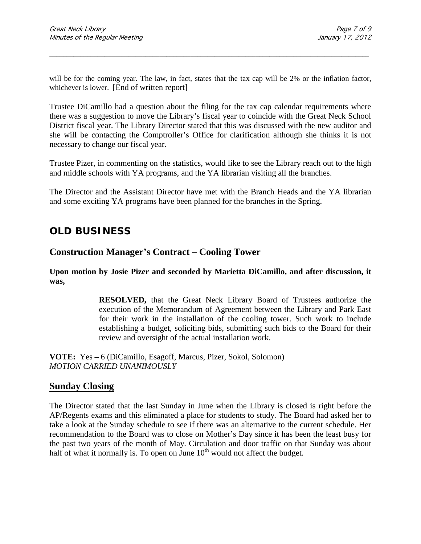will be for the coming year. The law, in fact, states that the tax cap will be 2% or the inflation factor, whichever is lower. [End of written report]

\_\_\_\_\_\_\_\_\_\_\_\_\_\_\_\_\_\_\_\_\_\_\_\_\_\_\_\_\_\_\_\_\_\_\_\_\_\_\_\_\_\_\_\_\_\_\_\_\_\_\_\_\_\_\_\_\_\_\_\_\_\_\_\_\_\_\_\_\_\_\_\_\_\_\_\_\_\_\_\_\_\_\_\_\_\_\_\_\_\_\_\_\_

Trustee DiCamillo had a question about the filing for the tax cap calendar requirements where there was a suggestion to move the Library's fiscal year to coincide with the Great Neck School District fiscal year. The Library Director stated that this was discussed with the new auditor and she will be contacting the Comptroller's Office for clarification although she thinks it is not necessary to change our fiscal year.

Trustee Pizer, in commenting on the statistics, would like to see the Library reach out to the high and middle schools with YA programs, and the YA librarian visiting all the branches.

The Director and the Assistant Director have met with the Branch Heads and the YA librarian and some exciting YA programs have been planned for the branches in the Spring.

# **OLD BUSINESS**

### **Construction Manager's Contract – Cooling Tower**

**Upon motion by Josie Pizer and seconded by Marietta DiCamillo, and after discussion, it was,**

> **RESOLVED,** that the Great Neck Library Board of Trustees authorize the execution of the Memorandum of Agreement between the Library and Park East for their work in the installation of the cooling tower. Such work to include establishing a budget, soliciting bids, submitting such bids to the Board for their review and oversight of the actual installation work.

**VOTE:** Yes **–** 6 (DiCamillo, Esagoff, Marcus, Pizer, Sokol, Solomon) *MOTION CARRIED UNANIMOUSLY*

### **Sunday Closing**

The Director stated that the last Sunday in June when the Library is closed is right before the AP/Regents exams and this eliminated a place for students to study. The Board had asked her to take a look at the Sunday schedule to see if there was an alternative to the current schedule. Her recommendation to the Board was to close on Mother's Day since it has been the least busy for the past two years of the month of May. Circulation and door traffic on that Sunday was about half of what it normally is. To open on June  $10<sup>th</sup>$  would not affect the budget.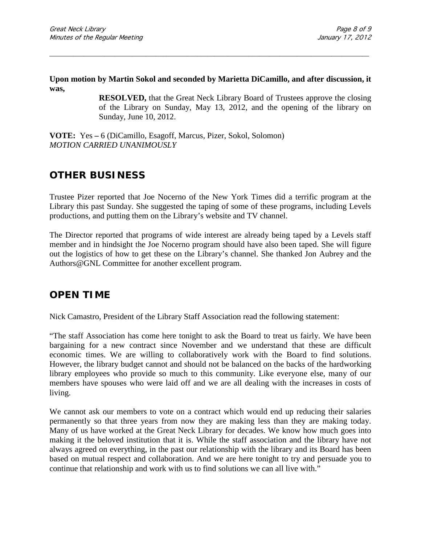### **Upon motion by Martin Sokol and seconded by Marietta DiCamillo, and after discussion, it was,**

\_\_\_\_\_\_\_\_\_\_\_\_\_\_\_\_\_\_\_\_\_\_\_\_\_\_\_\_\_\_\_\_\_\_\_\_\_\_\_\_\_\_\_\_\_\_\_\_\_\_\_\_\_\_\_\_\_\_\_\_\_\_\_\_\_\_\_\_\_\_\_\_\_\_\_\_\_\_\_\_\_\_\_\_\_\_\_\_\_\_\_\_\_

**RESOLVED,** that the Great Neck Library Board of Trustees approve the closing of the Library on Sunday, May 13, 2012, and the opening of the library on Sunday, June 10, 2012.

**VOTE:** Yes **–** 6 (DiCamillo, Esagoff, Marcus, Pizer, Sokol, Solomon) *MOTION CARRIED UNANIMOUSLY*

# **OTHER BUSINESS**

Trustee Pizer reported that Joe Nocerno of the New York Times did a terrific program at the Library this past Sunday. She suggested the taping of some of these programs, including Levels productions, and putting them on the Library's website and TV channel.

The Director reported that programs of wide interest are already being taped by a Levels staff member and in hindsight the Joe Nocerno program should have also been taped. She will figure out the logistics of how to get these on the Library's channel. She thanked Jon Aubrey and the Authors@GNL Committee for another excellent program.

## **OPEN TIME**

Nick Camastro, President of the Library Staff Association read the following statement:

"The staff Association has come here tonight to ask the Board to treat us fairly. We have been bargaining for a new contract since November and we understand that these are difficult economic times. We are willing to collaboratively work with the Board to find solutions. However, the library budget cannot and should not be balanced on the backs of the hardworking library employees who provide so much to this community. Like everyone else, many of our members have spouses who were laid off and we are all dealing with the increases in costs of living.

We cannot ask our members to vote on a contract which would end up reducing their salaries permanently so that three years from now they are making less than they are making today. Many of us have worked at the Great Neck Library for decades. We know how much goes into making it the beloved institution that it is. While the staff association and the library have not always agreed on everything, in the past our relationship with the library and its Board has been based on mutual respect and collaboration. And we are here tonight to try and persuade you to continue that relationship and work with us to find solutions we can all live with."